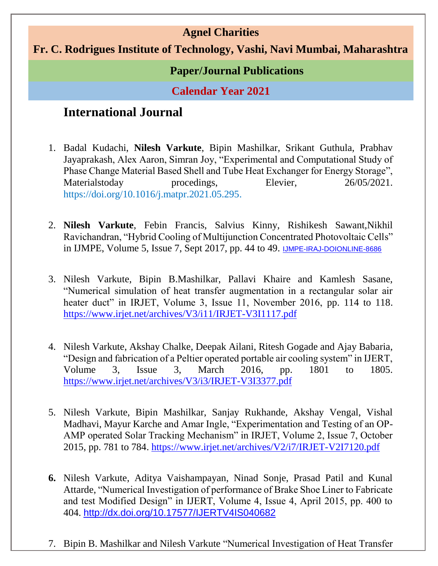### **Agnel Charities**

#### **Fr. C. Rodrigues Institute of Technology, Vashi, Navi Mumbai, Maharashtra**

#### **Paper/Journal Publications**

**Calendar Year 2021**

# **International Journal**

- 1. Badal Kudachi, **Nilesh Varkute**, Bipin Mashilkar, Srikant Guthula, Prabhav Jayaprakash, Alex Aaron, Simran Joy, "Experimental and Computational Study of Phase Change Material Based Shell and Tube Heat Exchanger for Energy Storage", Materialstoday procedings, Elevier, 26/05/2021. [https://doi.org/10.1016/j.matpr.2021.05.295.](https://doi.org/10.1016/j.matpr.2021.05.295)
- 2. **Nilesh Varkute**, Febin Francis, Salvius Kinny, Rishikesh Sawant,Nikhil Ravichandran, "Hybrid Cooling of Multijunction Concentrated Photovoltaic Cells" in IJMPE, Volume 5, Issue 7, Sept 2017, pp. 44 to 49. [IJMPE-IRAJ-DOIONLINE-8686](http://iraj.in/journal/IJMPE/paper_detail.php?paper_id=8686&name=Hybrid_Cooling_of_Multijunction_Concentrated_Photovoltaic_Cells)
- 3. Nilesh Varkute, Bipin B.Mashilkar, Pallavi Khaire and Kamlesh Sasane, "Numerical simulation of heat transfer augmentation in a rectangular solar air heater duct" in IRJET, Volume 3, Issue 11, November 2016, pp. 114 to 118. <https://www.irjet.net/archives/V3/i11/IRJET-V3I1117.pdf>
- 4. Nilesh Varkute, Akshay Chalke, Deepak Ailani, Ritesh Gogade and Ajay Babaria, "Design and fabrication of a Peltier operated portable air cooling system" in IJERT, Volume 3, Issue 3, March 2016, pp. 1801 to 1805. <https://www.irjet.net/archives/V3/i3/IRJET-V3I3377.pdf>
- 5. Nilesh Varkute, Bipin Mashilkar, Sanjay Rukhande, Akshay Vengal, Vishal Madhavi, Mayur Karche and Amar Ingle, "Experimentation and Testing of an OP-AMP operated Solar Tracking Mechanism" in IRJET, Volume 2, Issue 7, October 2015, pp. 781 to 784. <https://www.irjet.net/archives/V2/i7/IRJET-V2I7120.pdf>
- **6.** Nilesh Varkute, Aditya Vaishampayan, Ninad Sonje, Prasad Patil and Kunal Attarde, "Numerical Investigation of performance of Brake Shoe Liner to Fabricate and test Modified Design" in IJERT, Volume 4, Issue 4, April 2015, pp. 400 to 404. <http://dx.doi.org/10.17577/IJERTV4IS040682>
- 7. Bipin B. Mashilkar and Nilesh Varkute "Numerical Investigation of Heat Transfer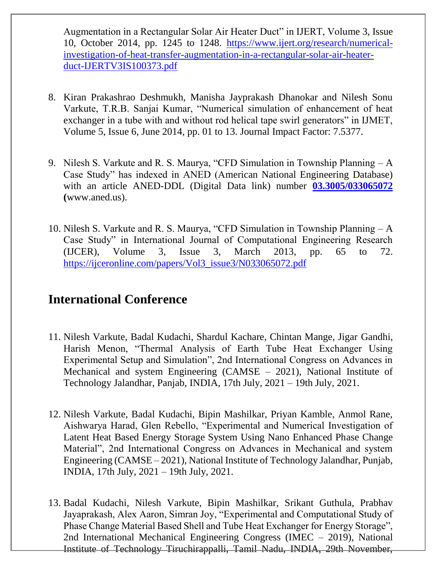Augmentation in a Rectangular Solar Air Heater Duct" in IJERT, Volume 3, Issue 10, October 2014, pp. 1245 to 1248. [https://www.ijert.org/research/numerical](https://www.ijert.org/research/numerical-investigation-of-heat-transfer-augmentation-in-a-rectangular-solar-air-heater-duct-IJERTV3IS100373.pdf)[investigation-of-heat-transfer-augmentation-in-a-rectangular-solar-air-heater](https://www.ijert.org/research/numerical-investigation-of-heat-transfer-augmentation-in-a-rectangular-solar-air-heater-duct-IJERTV3IS100373.pdf)[duct-IJERTV3IS100373.pdf](https://www.ijert.org/research/numerical-investigation-of-heat-transfer-augmentation-in-a-rectangular-solar-air-heater-duct-IJERTV3IS100373.pdf)

- 8. Kiran Prakashrao Deshmukh, Manisha Jayprakash Dhanokar and Nilesh Sonu Varkute, T.R.B. Sanjai Kumar, "Numerical simulation of enhancement of heat exchanger in a tube with and without rod helical tape swirl generators" in IJMET, Volume 5, Issue 6, June 2014, pp. 01 to 13. Journal Impact Factor: 7.5377.
- 9. Nilesh S. Varkute and R. S. Maurya, "CFD Simulation in Township Planning A Case Study" has indexed in ANED (American National Engineering Database) with an article ANED-DDL (Digital Data link) number **[03.3005/033065072](https://ijceronline.com/papers/Vol3_issue3/N033065072.pdf) (**[www.aned.us\)](http://www.aned.us/).
- 10. Nilesh S. Varkute and R. S. Maurya, "CFD Simulation in Township Planning A Case Study" in International Journal of Computational Engineering Research (IJCER), Volume 3, Issue 3, March 2013, pp. 65 to 72. [https://ijceronline.com/papers/Vol3\\_issue3/N033065072.pdf](https://ijceronline.com/papers/Vol3_issue3/N033065072.pdf)

## **International Conference**

- 11. Nilesh Varkute, Badal Kudachi, Shardul Kachare, Chintan Mange, Jigar Gandhi, Harish Menon, "Thermal Analysis of Earth Tube Heat Exchanger Using Experimental Setup and Simulation", 2nd International Congress on Advances in Mechanical and system Engineering (CAMSE – 2021), National Institute of Technology Jalandhar, Panjab, INDIA, 17th July, 2021 – 19th July, 2021.
- 12. Nilesh Varkute, Badal Kudachi, Bipin Mashilkar, Priyan Kamble, Anmol Rane, Aishwarya Harad, Glen Rebello, "Experimental and Numerical Investigation of Latent Heat Based Energy Storage System Using Nano Enhanced Phase Change Material", 2nd International Congress on Advances in Mechanical and system Engineering (CAMSE – 2021), National Institute of Technology Jalandhar, Punjab, INDIA, 17th July, 2021 – 19th July, 2021.
- 13. Badal Kudachi, Nilesh Varkute, Bipin Mashilkar, Srikant Guthula, Prabhav Jayaprakash, Alex Aaron, Simran Joy, "Experimental and Computational Study of Phase Change Material Based Shell and Tube Heat Exchanger for Energy Storage", 2nd International Mechanical Engineering Congress (IMEC – 2019), National Institute of Technology Tiruchirappalli, Tamil Nadu, INDIA, 29th November,